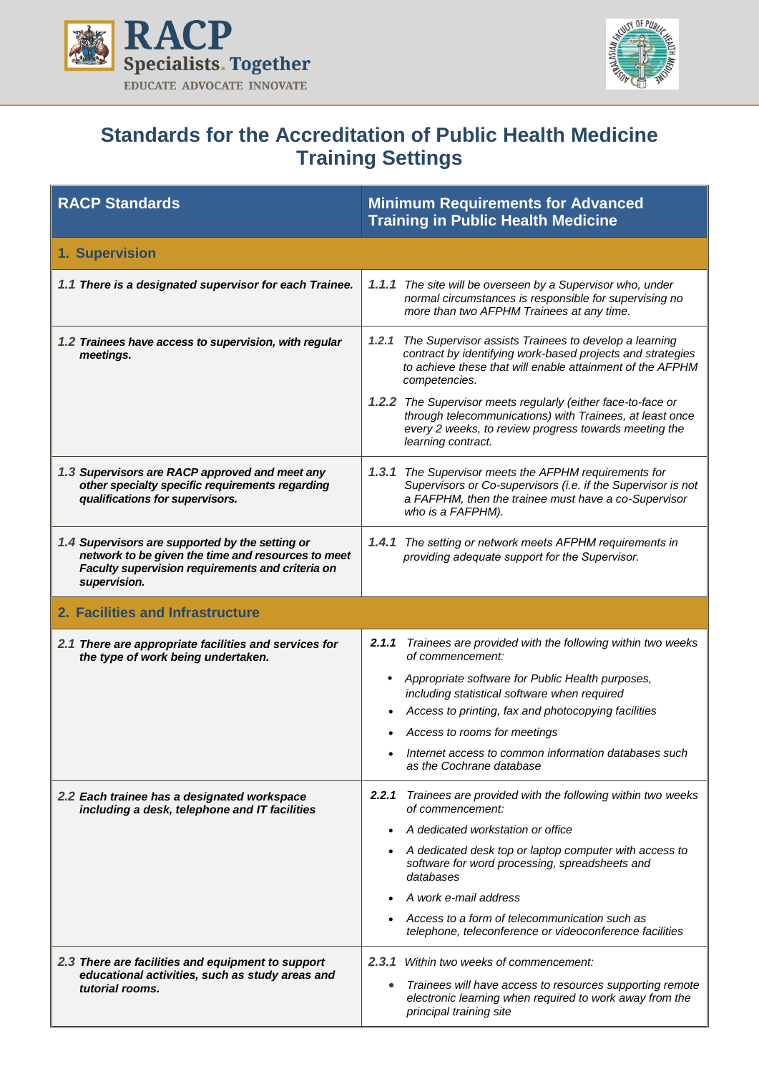



## **Standards for the Accreditation of Public Health Medicine Training Settings**

| <b>RACP Standards</b>                                                                                                                                                     | <b>Minimum Requirements for Advanced</b><br><b>Training in Public Health Medicine</b>                                                                                                                   |
|---------------------------------------------------------------------------------------------------------------------------------------------------------------------------|---------------------------------------------------------------------------------------------------------------------------------------------------------------------------------------------------------|
| 1. Supervision                                                                                                                                                            |                                                                                                                                                                                                         |
| 1.1 There is a designated supervisor for each Trainee.                                                                                                                    | 1.1.1 The site will be overseen by a Supervisor who, under<br>normal circumstances is responsible for supervising no<br>more than two AFPHM Trainees at any time.                                       |
| 1.2 Trainees have access to supervision, with regular<br>meetings.                                                                                                        | 1.2.1 The Supervisor assists Trainees to develop a learning<br>contract by identifying work-based projects and strategies<br>to achieve these that will enable attainment of the AFPHM<br>competencies. |
|                                                                                                                                                                           | 1.2.2 The Supervisor meets regularly (either face-to-face or<br>through telecommunications) with Trainees, at least once<br>every 2 weeks, to review progress towards meeting the<br>learning contract. |
| 1.3 Supervisors are RACP approved and meet any<br>other specialty specific requirements regarding<br>qualifications for supervisors.                                      | 1.3.1 The Supervisor meets the AFPHM requirements for<br>Supervisors or Co-supervisors (i.e. if the Supervisor is not<br>a FAFPHM, then the trainee must have a co-Supervisor<br>who is a FAFPHM).      |
| 1.4 Supervisors are supported by the setting or<br>network to be given the time and resources to meet<br>Faculty supervision requirements and criteria on<br>supervision. | <b>1.4.1</b> The setting or network meets AFPHM requirements in<br>providing adequate support for the Supervisor.                                                                                       |
| 2. Facilities and Infrastructure                                                                                                                                          |                                                                                                                                                                                                         |
| 2.1 There are appropriate facilities and services for<br>the type of work being undertaken.                                                                               | Trainees are provided with the following within two weeks<br>2.1.1<br>of commencement:                                                                                                                  |
|                                                                                                                                                                           | Appropriate software for Public Health purposes,<br>$\bullet$<br>including statistical software when required                                                                                           |
|                                                                                                                                                                           | Access to printing, fax and photocopying facilities                                                                                                                                                     |
|                                                                                                                                                                           | Access to rooms for meetings                                                                                                                                                                            |
|                                                                                                                                                                           | Internet access to common information databases such<br>as the Cochrane database                                                                                                                        |
| 2.2 Each trainee has a designated workspace<br>including a desk, telephone and IT facilities                                                                              | 2.2.1<br>Trainees are provided with the following within two weeks<br>of commencement:                                                                                                                  |
|                                                                                                                                                                           | A dedicated workstation or office                                                                                                                                                                       |
|                                                                                                                                                                           | A dedicated desk top or laptop computer with access to<br>software for word processing, spreadsheets and<br>databases                                                                                   |
|                                                                                                                                                                           | A work e-mail address                                                                                                                                                                                   |
|                                                                                                                                                                           | Access to a form of telecommunication such as<br>telephone, teleconference or videoconference facilities                                                                                                |
| 2.3 There are facilities and equipment to support                                                                                                                         | <b>2.3.1</b> Within two weeks of commencement:                                                                                                                                                          |
| educational activities, such as study areas and<br>tutorial rooms.                                                                                                        | Trainees will have access to resources supporting remote<br>electronic learning when required to work away from the<br>principal training site                                                          |